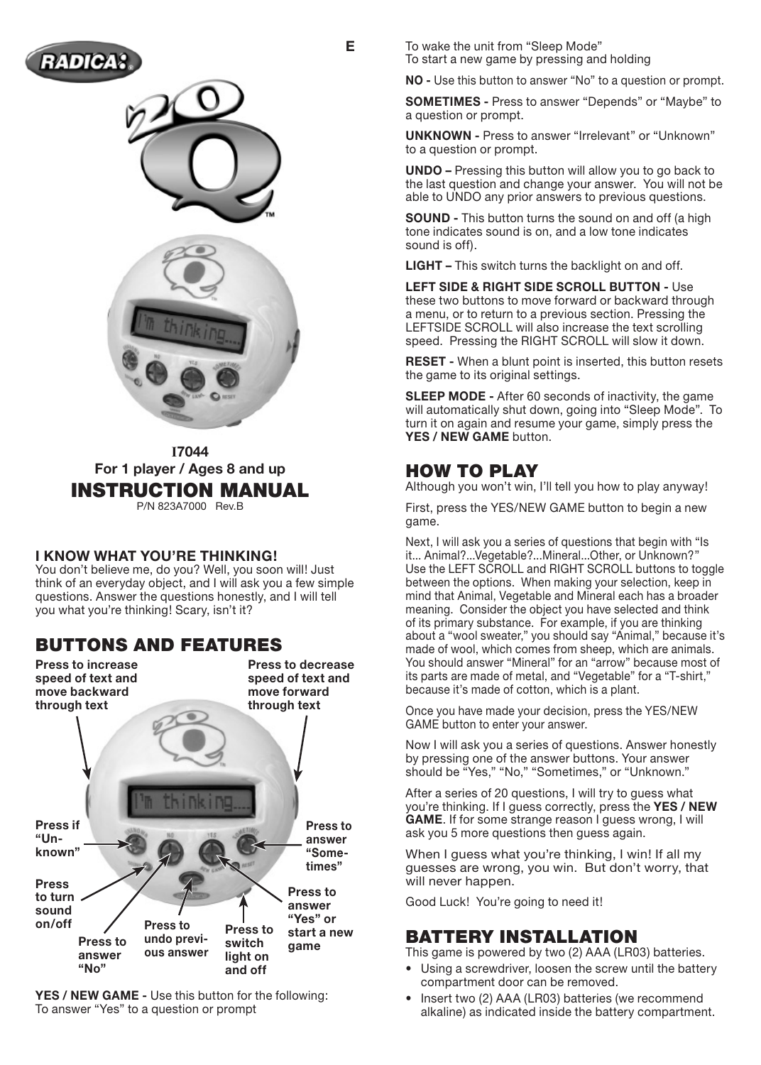





**I7044 For 1 player / Ages 8 and up** INSTRUCTION MANUAL P/N 823A7000 Rev.B

#### **I KNOW WHAT YOU'RE THINKING!**

You don't believe me, do you? Well, you soon will! Just think of an everyday object, and I will ask you a few simple questions. Answer the questions honestly, and I will tell you what you're thinking! Scary, isn't it?

## Buttons and Features



**YES / NEW GAME -** Use this button for the following: To answer "Yes" to a question or prompt

**E** To wake the unit from "Sleep Mode" To start a new game by pressing and holding

**NO -** Use this button to answer "No" to a question or prompt.

**SOMETIMES -** Press to answer "Depends" or "Maybe" to a question or prompt.

**UNKNOWN -** Press to answer "Irrelevant" or "Unknown" to a question or prompt.

**UNDO –** Pressing this button will allow you to go back to the last question and change your answer. You will not be able to UNDO any prior answers to previous questions.

**SOUND -** This button turns the sound on and off (a high tone indicates sound is on, and a low tone indicates sound is off).

**LIGHT –** This switch turns the backlight on and off.

**LEFT SIDE & RIGHT SIDE SCROLL BUTTON -** Use these two buttons to move forward or backward through a menu, or to return to a previous section. Pressing the LEFTSIDE SCROLL will also increase the text scrolling speed. Pressing the RIGHT SCROLL will slow it down.

**RESET -** When a blunt point is inserted, this button resets the game to its original settings.

**SLEEP MODE -** After 60 seconds of inactivity, the game will automatically shut down, going into "Sleep Mode". To turn it on again and resume your game, simply press the **YES / NEW GAME** button.

## HOW TO PLAY

Although you won't win, I'll tell you how to play anyway!

First, press the YES/NEW GAME button to begin a new game.

Next, I will ask you a series of questions that begin with "Is it... Animal?...Vegetable?...Mineral...Other, or Unknown?" Use the LEFT SCROLL and RIGHT SCROLL buttons to toggle between the options. When making your selection, keep in mind that Animal, Vegetable and Mineral each has a broader meaning. Consider the object you have selected and think of its primary substance. For example, if you are thinking about a "wool sweater," you should say "Animal," because it's made of wool, which comes from sheep, which are animals. You should answer "Mineral" for an "arrow" because most of its parts are made of metal, and "Vegetable" for a "T-shirt," because it's made of cotton, which is a plant.

Once you have made your decision, press the YES/NEW GAME button to enter your answer.

Now I will ask you a series of questions. Answer honestly by pressing one of the answer buttons. Your answer should be "Yes," "No," "Sometimes," or "Unknown."

After a series of 20 questions, I will try to guess what you're thinking. If I guess correctly, press the **YES / NEW GAME**. If for some strange reason I guess wrong, I will ask you 5 more questions then guess again.

When I guess what you're thinking, I win! If all my guesses are wrong, you win. But don't worry, that will never happen.

Good Luck! You're going to need it!

## BATTERY INSTALLATION

This game is powered by two (2) AAA (LR03) batteries.

- Using a screwdriver, loosen the screw until the battery compartment door can be removed.
- Insert two (2) AAA (LR03) batteries (we recommend alkaline) as indicated inside the battery compartment.